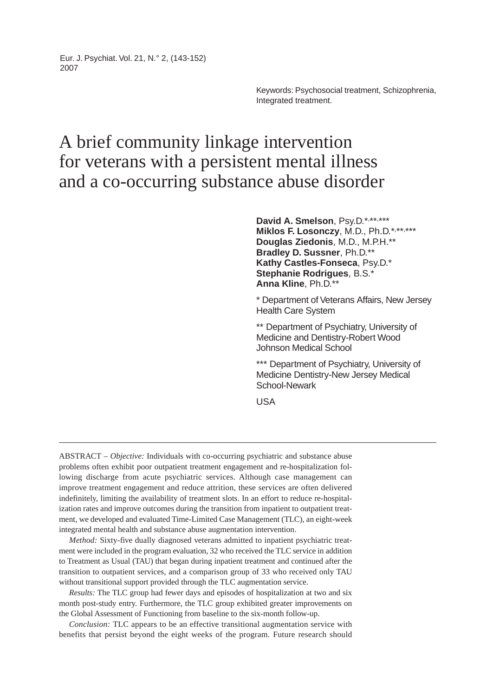Eur. J. Psychiat. Vol. 21, N.° 2, (143-152) 2007

> Keywords: Psychosocial treatment, Schizophrenia, Integrated treatment.

# A brief community linkage intervention for veterans with a persistent mental illness and a co-occurring substance abuse disorder

David A. Smelson, Psy.D.\*,\*\*,\*\*\* Miklos F. Losonczy, M.D., Ph.D.\*,\*\*,\*\*\* **Douglas Ziedonis**, M.D., M.P.H.\*\* **Bradley D. Sussner**, Ph.D.\*\* **Kathy Castles-Fonseca**, Psy.D.\* **Stephanie Rodrigues**, B.S.\* **Anna Kline**, Ph.D.\*\*

\* Department of Veterans Affairs, New Jersey Health Care System

\*\* Department of Psychiatry, University of Medicine and Dentistry-Robert Wood Johnson Medical School

\*\*\* Department of Psychiatry, University of Medicine Dentistry-New Jersey Medical School-Newark

USA

ABSTRACT – *Objective:* Individuals with co-occurring psychiatric and substance abuse problems often exhibit poor outpatient treatment engagement and re-hospitalization following discharge from acute psychiatric services. Although case management can improve treatment engagement and reduce attrition, these services are often delivered indefinitely, limiting the availability of treatment slots. In an effort to reduce re-hospitalization rates and improve outcomes during the transition from inpatient to outpatient treatment, we developed and evaluated Time-Limited Case Management (TLC), an eight-week integrated mental health and substance abuse augmentation intervention.

*Method:* Sixty-five dually diagnosed veterans admitted to inpatient psychiatric treatment were included in the program evaluation, 32 who received the TLC service in addition to Treatment as Usual (TAU) that began during inpatient treatment and continued after the transition to outpatient services, and a comparison group of 33 who received only TAU without transitional support provided through the TLC augmentation service.

*Results:* The TLC group had fewer days and episodes of hospitalization at two and six month post-study entry. Furthermore, the TLC group exhibited greater improvements on the Global Assessment of Functioning from baseline to the six-month follow-up.

*Conclusion:* TLC appears to be an effective transitional augmentation service with benefits that persist beyond the eight weeks of the program. Future research should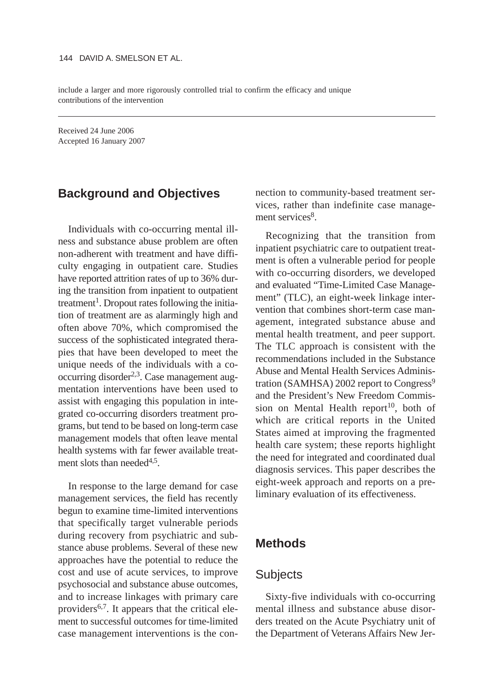include a larger and more rigorously controlled trial to confirm the efficacy and unique contributions of the intervention

Received 24 June 2006 Accepted 16 January 2007

## **Background and Objectives**

Individuals with co-occurring mental illness and substance abuse problem are often non-adherent with treatment and have difficulty engaging in outpatient care. Studies have reported attrition rates of up to 36% during the transition from inpatient to outpatient treatment<sup>1</sup>. Dropout rates following the initiation of treatment are as alarmingly high and often above 70%, which compromised the success of the sophisticated integrated therapies that have been developed to meet the unique needs of the individuals with a cooccurring disorder<sup>2,3</sup>. Case management augmentation interventions have been used to assist with engaging this population in integrated co-occurring disorders treatment programs, but tend to be based on long-term case management models that often leave mental health systems with far fewer available treatment slots than needed $4,5$ .

In response to the large demand for case management services, the field has recently begun to examine time-limited interventions that specifically target vulnerable periods during recovery from psychiatric and substance abuse problems. Several of these new approaches have the potential to reduce the cost and use of acute services, to improve psychosocial and substance abuse outcomes, and to increase linkages with primary care providers6,7. It appears that the critical element to successful outcomes for time-limited case management interventions is the connection to community-based treatment services, rather than indefinite case management services<sup>8</sup>.

Recognizing that the transition from inpatient psychiatric care to outpatient treatment is often a vulnerable period for people with co-occurring disorders, we developed and evaluated "Time-Limited Case Management" (TLC), an eight-week linkage intervention that combines short-term case management, integrated substance abuse and mental health treatment, and peer support. The TLC approach is consistent with the recommendations included in the Substance Abuse and Mental Health Services Administration (SAMHSA) 2002 report to Congress<sup>9</sup> and the President's New Freedom Commission on Mental Health report<sup>10</sup>, both of which are critical reports in the United States aimed at improving the fragmented health care system; these reports highlight the need for integrated and coordinated dual diagnosis services. This paper describes the eight-week approach and reports on a preliminary evaluation of its effectiveness.

# **Methods**

## **Subjects**

Sixty-five individuals with co-occurring mental illness and substance abuse disorders treated on the Acute Psychiatry unit of the Department of Veterans Affairs New Jer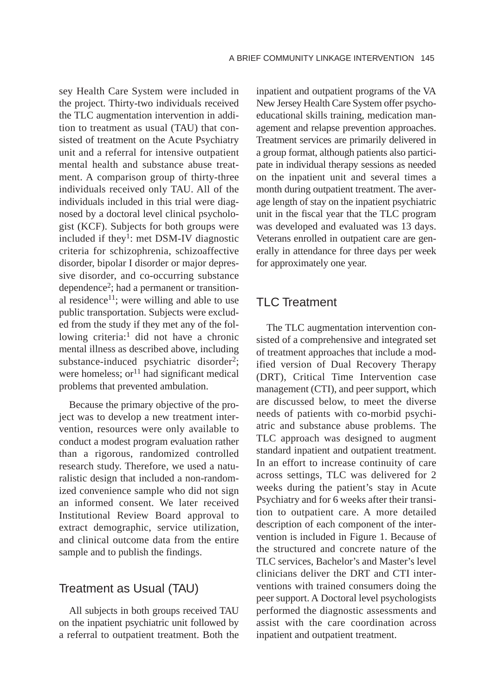sey Health Care System were included in the project. Thirty-two individuals received the TLC augmentation intervention in addition to treatment as usual (TAU) that consisted of treatment on the Acute Psychiatry unit and a referral for intensive outpatient mental health and substance abuse treatment. A comparison group of thirty-three individuals received only TAU. All of the individuals included in this trial were diagnosed by a doctoral level clinical psychologist (KCF). Subjects for both groups were included if they<sup>1</sup>: met DSM-IV diagnostic criteria for schizophrenia, schizoaffective disorder, bipolar I disorder or major depressive disorder, and co-occurring substance dependence2; had a permanent or transitional residence<sup>11</sup>; were willing and able to use public transportation. Subjects were excluded from the study if they met any of the following criteria:<sup>1</sup> did not have a chronic mental illness as described above, including substance-induced psychiatric disorder<sup>2</sup>; were homeless; or<sup>11</sup> had significant medical problems that prevented ambulation.

Because the primary objective of the project was to develop a new treatment intervention, resources were only available to conduct a modest program evaluation rather than a rigorous, randomized controlled research study. Therefore, we used a naturalistic design that included a non-randomized convenience sample who did not sign an informed consent. We later received Institutional Review Board approval to extract demographic, service utilization, and clinical outcome data from the entire sample and to publish the findings.

## Treatment as Usual (TAU)

All subjects in both groups received TAU on the inpatient psychiatric unit followed by a referral to outpatient treatment. Both the inpatient and outpatient programs of the VA New Jersey Health Care System offer psychoeducational skills training, medication management and relapse prevention approaches. Treatment services are primarily delivered in a group format, although patients also participate in individual therapy sessions as needed on the inpatient unit and several times a month during outpatient treatment. The average length of stay on the inpatient psychiatric unit in the fiscal year that the TLC program was developed and evaluated was 13 days. Veterans enrolled in outpatient care are generally in attendance for three days per week for approximately one year.

# **TI C Treatment**

The TLC augmentation intervention consisted of a comprehensive and integrated set of treatment approaches that include a modified version of Dual Recovery Therapy (DRT), Critical Time Intervention case management (CTI), and peer support, which are discussed below, to meet the diverse needs of patients with co-morbid psychiatric and substance abuse problems. The TLC approach was designed to augment standard inpatient and outpatient treatment. In an effort to increase continuity of care across settings, TLC was delivered for 2 weeks during the patient's stay in Acute Psychiatry and for 6 weeks after their transition to outpatient care. A more detailed description of each component of the intervention is included in Figure 1. Because of the structured and concrete nature of the TLC services, Bachelor's and Master's level clinicians deliver the DRT and CTI interventions with trained consumers doing the peer support. A Doctoral level psychologists performed the diagnostic assessments and assist with the care coordination across inpatient and outpatient treatment.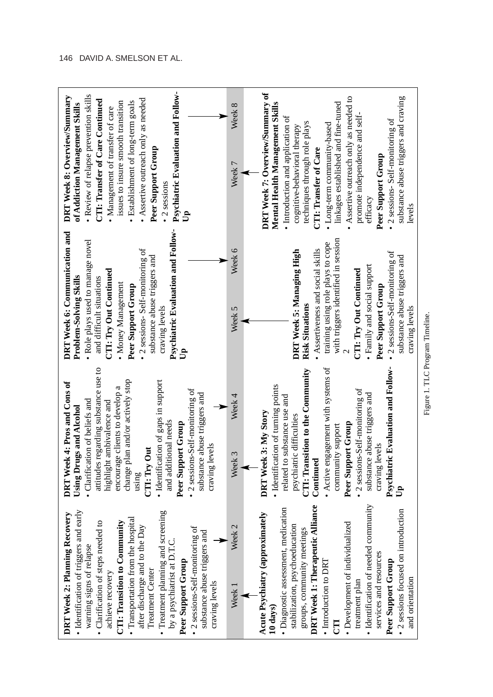| Psychiatric Evaluation and Follow-<br>· Review of relapse prevention skills<br>DRT Week 8: Overview/Summary<br>• Assertive outreach only as needed<br>CTI: Transfer of Care Continued<br>issues to insure smooth transition<br>· Establishment of long-term goals<br>of Addiction Management Skills<br>Management of transfer of care<br>Peer Support Group<br>2 sessions<br>å                                                                                                              | Week 8<br>Week 7                       | DRT Week 7: Overview/Summary of<br>Assertive outreach only as needed to<br>substance abuse triggers and craving<br>linkages established and fine-tuned<br>Mental Health Management Skills<br>promote independence and self-<br>· Introduction and application of<br>• 2 sessions- Self-monitoring of<br>techniques through role plays<br>• Long-term community-based<br>cognitive-behavioral therapy<br>CTI: Transfer of Care<br>Peer Support Group<br>efficacy<br>levels |
|---------------------------------------------------------------------------------------------------------------------------------------------------------------------------------------------------------------------------------------------------------------------------------------------------------------------------------------------------------------------------------------------------------------------------------------------------------------------------------------------|----------------------------------------|---------------------------------------------------------------------------------------------------------------------------------------------------------------------------------------------------------------------------------------------------------------------------------------------------------------------------------------------------------------------------------------------------------------------------------------------------------------------------|
| Psychiatric Evaluation and Follow-<br>DRT Week 6: Communication and<br>. Role plays used to manage novel<br>• 2 sessions- Self-monitoring of<br>substance abuse triggers and<br>CTI: Try Out Continued<br>Problem-Solving Skills<br>and difficult situations<br>• Money Management<br>Peer Support Group<br>craving levels                                                                                                                                                                  | Week 6<br>Week 5                       | with triggers identified in session<br>training using role plays to cope<br>Assertiveness and social skills<br>DRT Week 5: Managing High<br>• 2 sessions-Self-monitoring of<br>substance abuse triggers and<br>· Family and social support<br>CTI: Try Out Continued<br>Peer Support Group<br><b>Risk Situations</b><br>craving levels                                                                                                                                    |
| attitudes regarding substance use to<br>change plan and/or actively stop<br>· Identification of gaps in support<br>DRT Week 4: Pros and Cons of<br>encourage clients to develop a<br>• 2 sessions-Self-monitoring of<br>substance abuse triggers and<br>· Clarification of beliefs and<br>highlight ambivalence and<br>Using Drugs and Alcohol<br>and additional needs<br>Peer Support Group<br>craving levels<br>CTI: Try Out<br>using                                                     | Week 4<br>Week <sub>3</sub>            | Psychiatric Evaluation and Follow-<br>• Active engagement with systems of<br>CTI: Transition to the Community<br>· Identification of turning points<br>• 2 sessions-Self-monitoring of<br>substance abuse triggers and<br>related to substance use and<br>DRT Week 3: My Story<br>psychiatric difficulties<br>Peer Support Group<br>community support<br>craving levels<br>Continued<br>ភ្ន                                                                               |
| · Identification of triggers and early<br>screening<br>Recovery<br>• Transportation from the hospital<br>· Clarification of steps needed to<br>CTI: Transition to Community<br>after discharge and to the Day<br>• 2 sessions-Self-monitoring of<br>substance abuse triggers and<br>warning signs of relapse<br>· Treatment planning and<br><b>DRT Week 2: Planning</b><br>by a psychiatrist at D.T.<br>Peer Support Group<br><b>Treatment Center</b><br>achieve recovery<br>craving levels | Neek <sub>2</sub><br>Week <sub>1</sub> | · Identification of needed community<br>DRT Week 1: Therapeutic Alliance<br>· Diagnostic assessment, medication<br>• 2 sessions focused on introduction<br>Acute Psychiatry (approximately<br>• Development of individualized<br>stabilization, psychoeducation<br>groups, community meetings<br>services and resources<br>• Introduction to DRT<br>Peer Support Group<br>and orientation<br>treatment plan<br>10 days)                                                   |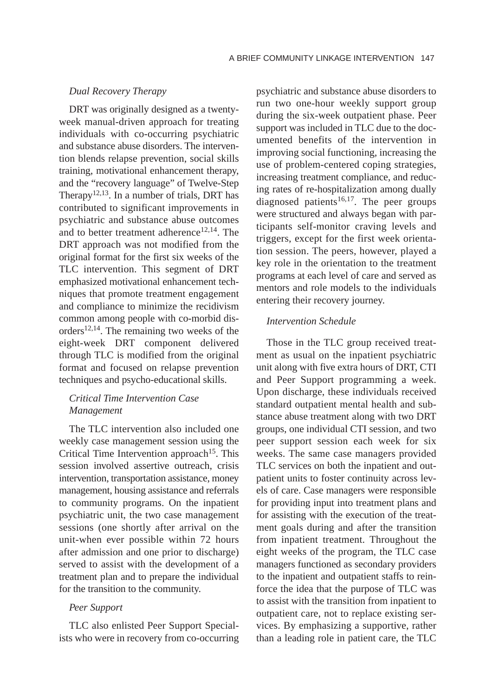#### *Dual Recovery Therapy*

DRT was originally designed as a twentyweek manual-driven approach for treating individuals with co-occurring psychiatric and substance abuse disorders. The intervention blends relapse prevention, social skills training, motivational enhancement therapy, and the "recovery language" of Twelve-Step Therapy<sup>12,13</sup>. In a number of trials, DRT has contributed to significant improvements in psychiatric and substance abuse outcomes and to better treatment adherence<sup>12,14</sup>. The DRT approach was not modified from the original format for the first six weeks of the TLC intervention. This segment of DRT emphasized motivational enhancement techniques that promote treatment engagement and compliance to minimize the recidivism common among people with co-morbid disorders $12,14$ . The remaining two weeks of the eight-week DRT component delivered through TLC is modified from the original format and focused on relapse prevention techniques and psycho-educational skills.

#### *Critical Time Intervention Case Management*

The TLC intervention also included one weekly case management session using the Critical Time Intervention approach<sup>15</sup>. This session involved assertive outreach, crisis intervention, transportation assistance, money management, housing assistance and referrals to community programs. On the inpatient psychiatric unit, the two case management sessions (one shortly after arrival on the unit-when ever possible within 72 hours after admission and one prior to discharge) served to assist with the development of a treatment plan and to prepare the individual for the transition to the community.

#### *Peer Support*

TLC also enlisted Peer Support Specialists who were in recovery from co-occurring

psychiatric and substance abuse disorders to run two one-hour weekly support group during the six-week outpatient phase. Peer support was included in TLC due to the documented benefits of the intervention in improving social functioning, increasing the use of problem-centered coping strategies, increasing treatment compliance, and reducing rates of re-hospitalization among dually diagnosed patients<sup>16,17</sup>. The peer groups were structured and always began with participants self-monitor craving levels and triggers, except for the first week orientation session. The peers, however, played a key role in the orientation to the treatment programs at each level of care and served as mentors and role models to the individuals entering their recovery journey.

#### *Intervention Schedule*

Those in the TLC group received treatment as usual on the inpatient psychiatric unit along with five extra hours of DRT, CTI and Peer Support programming a week. Upon discharge, these individuals received standard outpatient mental health and substance abuse treatment along with two DRT groups, one individual CTI session, and two peer support session each week for six weeks. The same case managers provided TLC services on both the inpatient and outpatient units to foster continuity across levels of care. Case managers were responsible for providing input into treatment plans and for assisting with the execution of the treatment goals during and after the transition from inpatient treatment. Throughout the eight weeks of the program, the TLC case managers functioned as secondary providers to the inpatient and outpatient staffs to reinforce the idea that the purpose of TLC was to assist with the transition from inpatient to outpatient care, not to replace existing services. By emphasizing a supportive, rather than a leading role in patient care, the TLC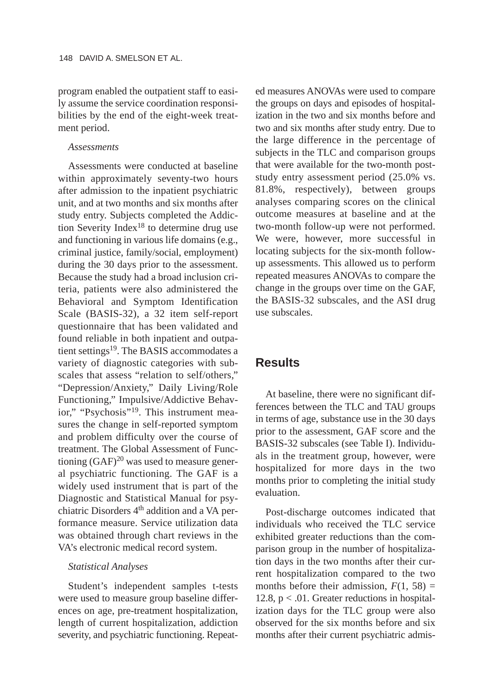program enabled the outpatient staff to easily assume the service coordination responsibilities by the end of the eight-week treatment period.

#### *Assessments*

Assessments were conducted at baseline within approximately seventy-two hours after admission to the inpatient psychiatric unit, and at two months and six months after study entry. Subjects completed the Addiction Severity Index18 to determine drug use and functioning in various life domains (e.g., criminal justice, family/social, employment) during the 30 days prior to the assessment. Because the study had a broad inclusion criteria, patients were also administered the Behavioral and Symptom Identification Scale (BASIS-32), a 32 item self-report questionnaire that has been validated and found reliable in both inpatient and outpatient settings<sup>19</sup>. The BASIS accommodates a variety of diagnostic categories with subscales that assess "relation to self/others," "Depression/Anxiety," Daily Living/Role Functioning," Impulsive/Addictive Behavior," "Psychosis"19. This instrument measures the change in self-reported symptom and problem difficulty over the course of treatment. The Global Assessment of Functioning  $(GAF)^{20}$  was used to measure general psychiatric functioning. The GAF is a widely used instrument that is part of the Diagnostic and Statistical Manual for psychiatric Disorders 4<sup>th</sup> addition and a VA performance measure. Service utilization data was obtained through chart reviews in the VA's electronic medical record system.

#### *Statistical Analyses*

Student's independent samples t-tests were used to measure group baseline differences on age, pre-treatment hospitalization, length of current hospitalization, addiction severity, and psychiatric functioning. Repeated measures ANOVAs were used to compare the groups on days and episodes of hospitalization in the two and six months before and two and six months after study entry. Due to the large difference in the percentage of subjects in the TLC and comparison groups that were available for the two-month poststudy entry assessment period (25.0% vs. 81.8%, respectively), between groups analyses comparing scores on the clinical outcome measures at baseline and at the two-month follow-up were not performed. We were, however, more successful in locating subjects for the six-month followup assessments. This allowed us to perform repeated measures ANOVAs to compare the change in the groups over time on the GAF, the BASIS-32 subscales, and the ASI drug use subscales.

## **Results**

At baseline, there were no significant differences between the TLC and TAU groups in terms of age, substance use in the 30 days prior to the assessment, GAF score and the BASIS-32 subscales (see Table I). Individuals in the treatment group, however, were hospitalized for more days in the two months prior to completing the initial study evaluation.

Post-discharge outcomes indicated that individuals who received the TLC service exhibited greater reductions than the comparison group in the number of hospitalization days in the two months after their current hospitalization compared to the two months before their admission,  $F(1, 58) =$ 12.8,  $p < .01$ . Greater reductions in hospitalization days for the TLC group were also observed for the six months before and six months after their current psychiatric admis-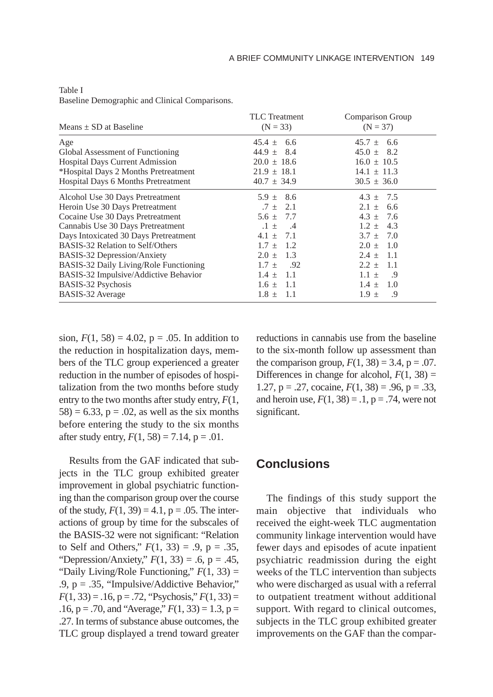| Means $\pm$ SD at Baseline              | <b>TLC</b> Treatment<br>$(N = 33)$ | <b>Comparison Group</b><br>$(N = 37)$ |
|-----------------------------------------|------------------------------------|---------------------------------------|
| Age                                     | $45.4 + 6.6$                       | $45.7 + 6.6$                          |
| Global Assessment of Functioning        | $44.9 \pm 8.4$                     | $45.0 \pm 8.2$                        |
| <b>Hospital Days Current Admission</b>  | $20.0 \pm 18.6$                    | $16.0 \pm 10.5$                       |
| *Hospital Days 2 Months Pretreatment    | $21.9 \pm 18.1$                    | $14.1 \pm 11.3$                       |
| Hospital Days 6 Months Pretreatment     | $40.7 \pm 34.9$                    | $30.5 \pm 36.0$                       |
| Alcohol Use 30 Days Pretreatment        | $5.9 \pm 8.6$                      | $4.3 \pm 7.5$                         |
| Heroin Use 30 Days Pretreatment         | $.7 \pm 2.1$                       | - 6.6<br>$2.1 \pm$                    |
| Cocaine Use 30 Days Pretreatment        | $5.6 \pm 7.7$                      | $4.3 \pm 7.6$                         |
| Cannabis Use 30 Days Pretreatment       | $.1 + .4$                          | $1.2 \pm 4.3$                         |
| Days Intoxicated 30 Days Pretreatment   | $4.1 + 7.1$                        | $3.7 + 7.0$                           |
| <b>BASIS-32 Relation to Self/Others</b> | $1.7 \pm 1.2$                      | $2.0 \pm 1.0$                         |
| BASIS-32 Depression/Anxiety             | $2.0 \pm 1.3$                      | $2.4 \pm 1.1$                         |
| BASIS-32 Daily Living/Role Functioning  | $1.7 \pm$<br>.92                   | $2.2 \pm 1.1$                         |
| BASIS-32 Impulsive/Addictive Behavior   | $1.4 \pm 1.1$                      | $1.1 +$<br>.9                         |
| BASIS-32 Psychosis                      | $1.6 \pm 1.1$                      | $1.4 \pm 1.0$                         |
| BASIS-32 Average                        | $1.8 \pm 1.1$                      | $1.9 \pm$<br>.9                       |

Table I

Baseline Demographic and Clinical Comparisons.

sion,  $F(1, 58) = 4.02$ ,  $p = .05$ . In addition to the reduction in hospitalization days, members of the TLC group experienced a greater reduction in the number of episodes of hospitalization from the two months before study entry to the two months after study entry, *F*(1,  $58$ ) = 6.33, p = .02, as well as the six months before entering the study to the six months after study entry,  $F(1, 58) = 7.14$ ,  $p = .01$ .

Results from the GAF indicated that subjects in the TLC group exhibited greater improvement in global psychiatric functioning than the comparison group over the course of the study,  $F(1, 39) = 4.1$ ,  $p = .05$ . The interactions of group by time for the subscales of the BASIS-32 were not significant: "Relation to Self and Others,"  $F(1, 33) = .9$ ,  $p = .35$ , "Depression/Anxiety," *F*(1, 33) = .6, p = .45, "Daily Living/Role Functioning," *F*(1, 33) = .9, p = .35, "Impulsive/Addictive Behavior,"  $F(1, 33) = .16$ ,  $p = .72$ , "Psychosis,"  $F(1, 33) =$ .16,  $p = .70$ , and "Average,"  $F(1, 33) = 1.3$ ,  $p =$ .27. In terms of substance abuse outcomes, the TLC group displayed a trend toward greater reductions in cannabis use from the baseline to the six-month follow up assessment than the comparison group,  $F(1, 38) = 3.4$ ,  $p = .07$ . Differences in change for alcohol,  $F(1, 38) =$ 1.27,  $p = .27$ , cocaine,  $F(1, 38) = .96$ ,  $p = .33$ , and heroin use,  $F(1, 38) = .1$ ,  $p = .74$ , were not significant.

## **Conclusions**

The findings of this study support the main objective that individuals who received the eight-week TLC augmentation community linkage intervention would have fewer days and episodes of acute inpatient psychiatric readmission during the eight weeks of the TLC intervention than subjects who were discharged as usual with a referral to outpatient treatment without additional support. With regard to clinical outcomes, subjects in the TLC group exhibited greater improvements on the GAF than the compar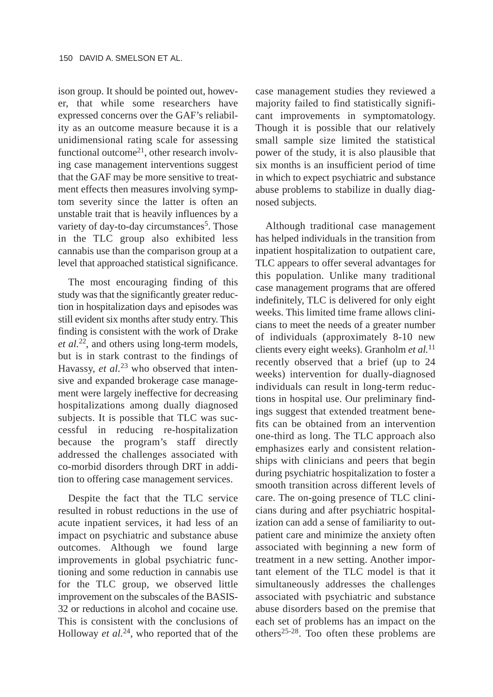ison group. It should be pointed out, however, that while some researchers have expressed concerns over the GAF's reliability as an outcome measure because it is a unidimensional rating scale for assessing functional outcome<sup>21</sup>, other research involving case management interventions suggest that the GAF may be more sensitive to treatment effects then measures involving symptom severity since the latter is often an unstable trait that is heavily influences by a variety of day-to-day circumstances<sup>5</sup>. Those in the TLC group also exhibited less cannabis use than the comparison group at a level that approached statistical significance.

The most encouraging finding of this study was that the significantly greater reduction in hospitalization days and episodes was still evident six months after study entry. This finding is consistent with the work of Drake *et al.*22, and others using long-term models, but is in stark contrast to the findings of Havassy, *et al.*<sup>23</sup> who observed that intensive and expanded brokerage case management were largely ineffective for decreasing hospitalizations among dually diagnosed subjects. It is possible that TLC was successful in reducing re-hospitalization because the program's staff directly addressed the challenges associated with co-morbid disorders through DRT in addition to offering case management services.

Despite the fact that the TLC service resulted in robust reductions in the use of acute inpatient services, it had less of an impact on psychiatric and substance abuse outcomes. Although we found large improvements in global psychiatric functioning and some reduction in cannabis use for the TLC group, we observed little improvement on the subscales of the BASIS-32 or reductions in alcohol and cocaine use. This is consistent with the conclusions of Holloway *et al.*24, who reported that of the case management studies they reviewed a majority failed to find statistically significant improvements in symptomatology. Though it is possible that our relatively small sample size limited the statistical power of the study, it is also plausible that six months is an insufficient period of time in which to expect psychiatric and substance abuse problems to stabilize in dually diagnosed subjects.

Although traditional case management has helped individuals in the transition from inpatient hospitalization to outpatient care, TLC appears to offer several advantages for this population. Unlike many traditional case management programs that are offered indefinitely, TLC is delivered for only eight weeks. This limited time frame allows clinicians to meet the needs of a greater number of individuals (approximately 8-10 new clients every eight weeks). Granholm *et al.*<sup>11</sup> recently observed that a brief (up to 24 weeks) intervention for dually-diagnosed individuals can result in long-term reductions in hospital use. Our preliminary findings suggest that extended treatment benefits can be obtained from an intervention one-third as long. The TLC approach also emphasizes early and consistent relationships with clinicians and peers that begin during psychiatric hospitalization to foster a smooth transition across different levels of care. The on-going presence of TLC clinicians during and after psychiatric hospitalization can add a sense of familiarity to outpatient care and minimize the anxiety often associated with beginning a new form of treatment in a new setting. Another important element of the TLC model is that it simultaneously addresses the challenges associated with psychiatric and substance abuse disorders based on the premise that each set of problems has an impact on the others<sup>25-28</sup>. Too often these problems are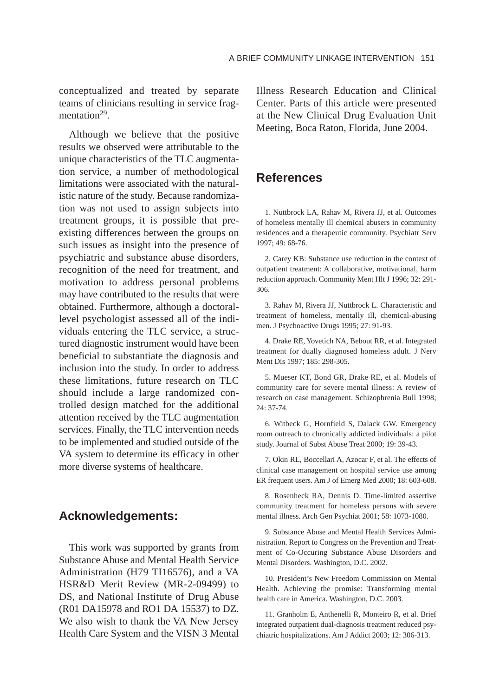conceptualized and treated by separate teams of clinicians resulting in service fragmentation<sup>29</sup>.

Although we believe that the positive results we observed were attributable to the unique characteristics of the TLC augmentation service, a number of methodological limitations were associated with the naturalistic nature of the study. Because randomization was not used to assign subjects into treatment groups, it is possible that preexisting differences between the groups on such issues as insight into the presence of psychiatric and substance abuse disorders, recognition of the need for treatment, and motivation to address personal problems may have contributed to the results that were obtained. Furthermore, although a doctorallevel psychologist assessed all of the individuals entering the TLC service, a structured diagnostic instrument would have been beneficial to substantiate the diagnosis and inclusion into the study. In order to address these limitations, future research on TLC should include a large randomized controlled design matched for the additional attention received by the TLC augmentation services. Finally, the TLC intervention needs to be implemented and studied outside of the VA system to determine its efficacy in other more diverse systems of healthcare.

## **Acknowledgements:**

This work was supported by grants from Substance Abuse and Mental Health Service Administration (H79 TI16576), and a VA HSR&D Merit Review (MR-2-09499) to DS, and National Institute of Drug Abuse (R01 DA15978 and RO1 DA 15537) to DZ. We also wish to thank the VA New Jersey Health Care System and the VISN 3 Mental Illness Research Education and Clinical Center. Parts of this article were presented at the New Clinical Drug Evaluation Unit Meeting, Boca Raton, Florida, June 2004.

## **References**

1. Nuttbrock LA, Rahav M, Rivera JJ, et al. Outcomes of homeless mentally ill chemical abusers in community residences and a therapeutic community. Psychiatr Serv 1997; 49: 68-76.

2. Carey KB: Substance use reduction in the context of outpatient treatment: A collaborative, motivational, harm reduction approach. Community Ment Hlt J 1996; 32: 291- 306.

3. Rahav M, Rivera JJ, Nuttbrock L. Characteristic and treatment of homeless, mentally ill, chemical-abusing men. J Psychoactive Drugs 1995; 27: 91-93.

4. Drake RE, Yovetich NA, Bebout RR, et al. Integrated treatment for dually diagnosed homeless adult. J Nerv Ment Dis 1997; 185: 298-305.

5. Mueser KT, Bond GR, Drake RE, et al. Models of community care for severe mental illness: A review of research on case management. Schizophrenia Bull 1998; 24: 37-74.

6. Witbeck G, Hornfield S, Dalack GW. Emergency room outreach to chronically addicted individuals: a pilot study. Journal of Subst Abuse Treat 2000; 19: 39-43.

7. Okin RL, Boccellari A, Azocar F, et al. The effects of clinical case management on hospital service use among ER frequent users. Am J of Emerg Med 2000; 18: 603-608.

8. Rosenheck RA, Dennis D. Time-limited assertive community treatment for homeless persons with severe mental illness. Arch Gen Psychiat 2001; 58: 1073-1080.

9. Substance Abuse and Mental Health Services Administration. Report to Congress on the Prevention and Treatment of Co-Occuring Substance Abuse Disorders and Mental Disorders. Washington, D.C. 2002.

10. President's New Freedom Commission on Mental Health. Achieving the promise: Transforming mental health care in America. Washington, D.C. 2003.

11. Granholm E, Anthenelli R, Monteiro R, et al. Brief integrated outpatient dual-diagnosis treatment reduced psychiatric hospitalizations. Am J Addict 2003; 12: 306-313.